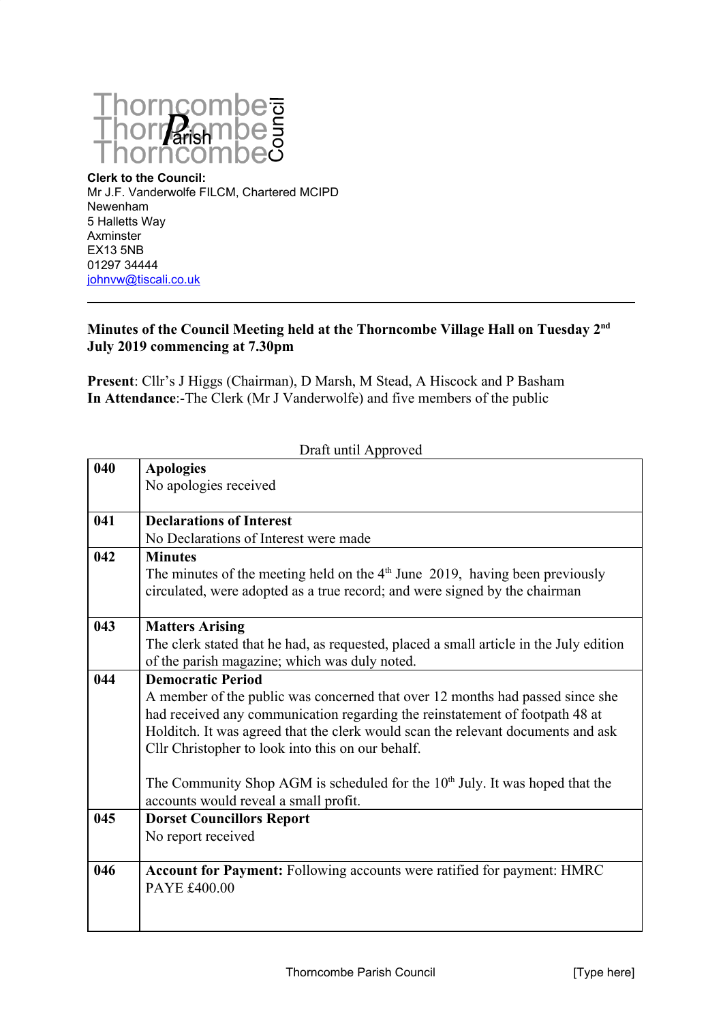

**Clerk to the Council:** Mr J.F. Vanderwolfe FILCM, Chartered MCIPD Newenham 5 Halletts Way Axminster EX13 5NB 01297 34444 [johnvw@tiscali.co.uk](mailto:johnvw@tiscali.co.uk)

## **Minutes of the Council Meeting held at the Thorncombe Village Hall on Tuesday 2nd July 2019 commencing at 7.30pm**

**Present**: Cllr's J Higgs (Chairman), D Marsh, M Stead, A Hiscock and P Basham **In Attendance**:-The Clerk (Mr J Vanderwolfe) and five members of the public

| Draft until Approved |                                                                                                                                                              |  |
|----------------------|--------------------------------------------------------------------------------------------------------------------------------------------------------------|--|
| 040                  | <b>Apologies</b>                                                                                                                                             |  |
|                      | No apologies received                                                                                                                                        |  |
| 041                  | <b>Declarations of Interest</b>                                                                                                                              |  |
|                      | No Declarations of Interest were made                                                                                                                        |  |
| 042                  | <b>Minutes</b>                                                                                                                                               |  |
|                      | The minutes of the meeting held on the $4th$ June 2019, having been previously<br>circulated, were adopted as a true record; and were signed by the chairman |  |
| 043                  | <b>Matters Arising</b>                                                                                                                                       |  |
|                      | The clerk stated that he had, as requested, placed a small article in the July edition                                                                       |  |
|                      | of the parish magazine; which was duly noted.                                                                                                                |  |
| 044                  | <b>Democratic Period</b>                                                                                                                                     |  |
|                      | A member of the public was concerned that over 12 months had passed since she                                                                                |  |
|                      | had received any communication regarding the reinstatement of footpath 48 at                                                                                 |  |
|                      | Holditch. It was agreed that the clerk would scan the relevant documents and ask                                                                             |  |
|                      | Cllr Christopher to look into this on our behalf.                                                                                                            |  |
|                      | The Community Shop AGM is scheduled for the $10th$ July. It was hoped that the                                                                               |  |
|                      | accounts would reveal a small profit.                                                                                                                        |  |
| 045                  | <b>Dorset Councillors Report</b>                                                                                                                             |  |
|                      | No report received                                                                                                                                           |  |
|                      |                                                                                                                                                              |  |
| 046                  | <b>Account for Payment:</b> Following accounts were ratified for payment: HMRC                                                                               |  |
|                      | PAYE £400.00                                                                                                                                                 |  |
|                      |                                                                                                                                                              |  |
|                      |                                                                                                                                                              |  |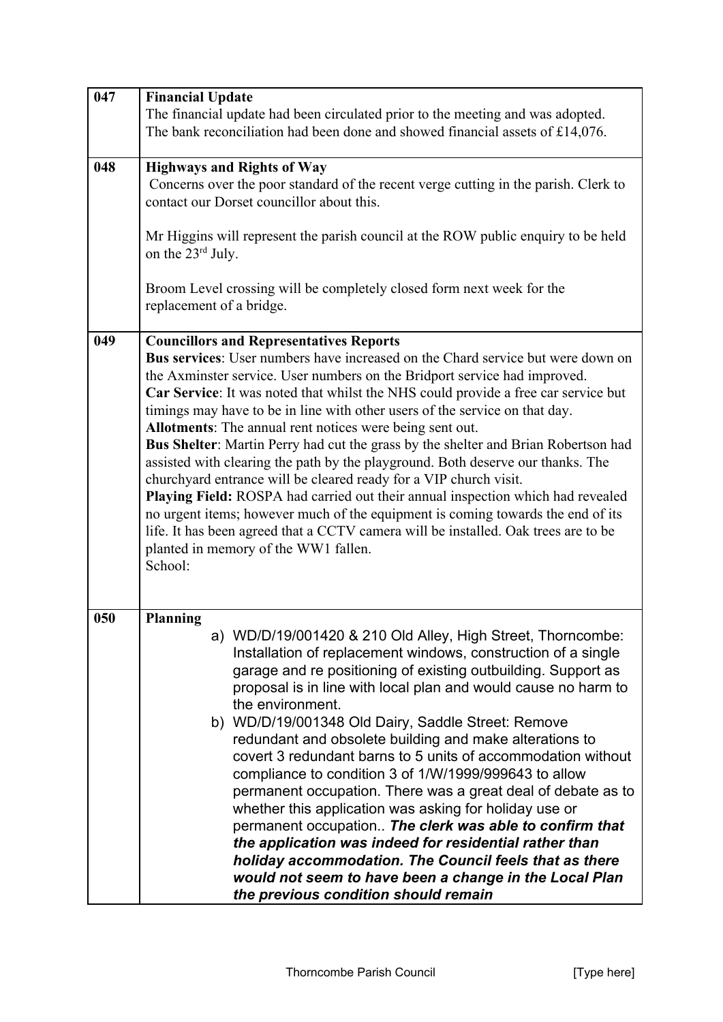| 047 | <b>Financial Update</b>                                                                                                                                                                                                                                                                                                                                                                                                                                                                                                                                                                                                                                                                                                                                                                                                                                                                                                                                                                                      |
|-----|--------------------------------------------------------------------------------------------------------------------------------------------------------------------------------------------------------------------------------------------------------------------------------------------------------------------------------------------------------------------------------------------------------------------------------------------------------------------------------------------------------------------------------------------------------------------------------------------------------------------------------------------------------------------------------------------------------------------------------------------------------------------------------------------------------------------------------------------------------------------------------------------------------------------------------------------------------------------------------------------------------------|
|     | The financial update had been circulated prior to the meeting and was adopted.<br>The bank reconciliation had been done and showed financial assets of £14,076.                                                                                                                                                                                                                                                                                                                                                                                                                                                                                                                                                                                                                                                                                                                                                                                                                                              |
|     |                                                                                                                                                                                                                                                                                                                                                                                                                                                                                                                                                                                                                                                                                                                                                                                                                                                                                                                                                                                                              |
| 048 | <b>Highways and Rights of Way</b><br>Concerns over the poor standard of the recent verge cutting in the parish. Clerk to<br>contact our Dorset councillor about this.<br>Mr Higgins will represent the parish council at the ROW public enquiry to be held<br>on the 23 <sup>rd</sup> July.<br>Broom Level crossing will be completely closed form next week for the                                                                                                                                                                                                                                                                                                                                                                                                                                                                                                                                                                                                                                         |
|     | replacement of a bridge.                                                                                                                                                                                                                                                                                                                                                                                                                                                                                                                                                                                                                                                                                                                                                                                                                                                                                                                                                                                     |
| 049 | <b>Councillors and Representatives Reports</b><br>Bus services: User numbers have increased on the Chard service but were down on<br>the Axminster service. User numbers on the Bridport service had improved.<br>Car Service: It was noted that whilst the NHS could provide a free car service but<br>timings may have to be in line with other users of the service on that day.<br>Allotments: The annual rent notices were being sent out.<br>Bus Shelter: Martin Perry had cut the grass by the shelter and Brian Robertson had<br>assisted with clearing the path by the playground. Both deserve our thanks. The<br>churchyard entrance will be cleared ready for a VIP church visit.<br>Playing Field: ROSPA had carried out their annual inspection which had revealed<br>no urgent items; however much of the equipment is coming towards the end of its<br>life. It has been agreed that a CCTV camera will be installed. Oak trees are to be<br>planted in memory of the WW1 fallen.<br>School: |
| 050 | <b>Planning</b><br>a) WD/D/19/001420 & 210 Old Alley, High Street, Thorncombe:<br>Installation of replacement windows, construction of a single<br>garage and re positioning of existing outbuilding. Support as<br>proposal is in line with local plan and would cause no harm to<br>the environment.<br>b) WD/D/19/001348 Old Dairy, Saddle Street: Remove<br>redundant and obsolete building and make alterations to<br>covert 3 redundant barns to 5 units of accommodation without<br>compliance to condition 3 of 1/W/1999/999643 to allow<br>permanent occupation. There was a great deal of debate as to<br>whether this application was asking for holiday use or<br>permanent occupation The clerk was able to confirm that<br>the application was indeed for residential rather than<br>holiday accommodation. The Council feels that as there<br>would not seem to have been a change in the Local Plan<br>the previous condition should remain                                                  |